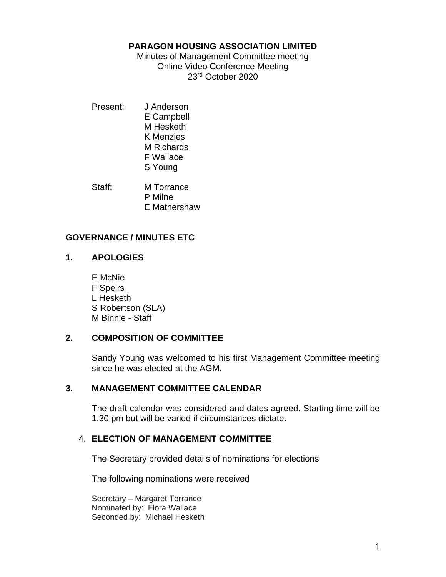#### **PARAGON HOUSING ASSOCIATION LIMITED**

Minutes of Management Committee meeting Online Video Conference Meeting 23rd October 2020

Present: J Anderson E Campbell M Hesketh K Menzies M Richards F Wallace S Young

Staff: M Torrance P Milne E Mathershaw

## **GOVERNANCE / MINUTES ETC**

## **1. APOLOGIES**

E McNie F Speirs L Hesketh S Robertson (SLA) M Binnie - Staff

## **2. COMPOSITION OF COMMITTEE**

Sandy Young was welcomed to his first Management Committee meeting since he was elected at the AGM.

## **3. MANAGEMENT COMMITTEE CALENDAR**

The draft calendar was considered and dates agreed. Starting time will be 1.30 pm but will be varied if circumstances dictate.

## 4. **ELECTION OF MANAGEMENT COMMITTEE**

The Secretary provided details of nominations for elections

The following nominations were received

Secretary – Margaret Torrance Nominated by: Flora Wallace Seconded by: Michael Hesketh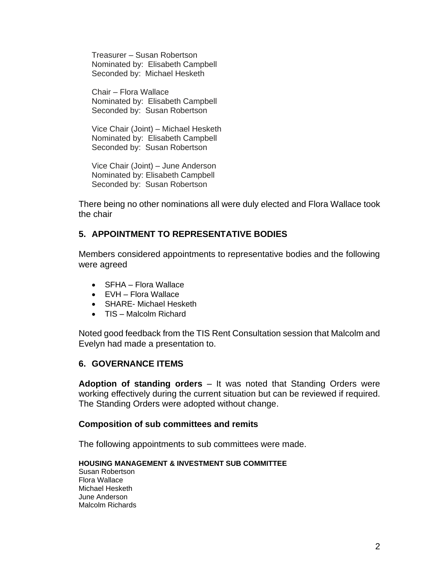Treasurer – Susan Robertson Nominated by: Elisabeth Campbell Seconded by: Michael Hesketh

Chair – Flora Wallace Nominated by: Elisabeth Campbell Seconded by: Susan Robertson

Vice Chair (Joint) – Michael Hesketh Nominated by: Elisabeth Campbell Seconded by: Susan Robertson

Vice Chair (Joint) – June Anderson Nominated by: Elisabeth Campbell Seconded by: Susan Robertson

There being no other nominations all were duly elected and Flora Wallace took the chair

## **5. APPOINTMENT TO REPRESENTATIVE BODIES**

Members considered appointments to representative bodies and the following were agreed

- SFHA Flora Wallace
- EVH Flora Wallace
- SHARE- Michael Hesketh
- TIS Malcolm Richard

Noted good feedback from the TIS Rent Consultation session that Malcolm and Evelyn had made a presentation to.

## **6. GOVERNANCE ITEMS**

**Adoption of standing orders** – It was noted that Standing Orders were working effectively during the current situation but can be reviewed if required. The Standing Orders were adopted without change.

## **Composition of sub committees and remits**

The following appointments to sub committees were made.

#### **HOUSING MANAGEMENT & INVESTMENT SUB COMMITTEE**

Susan Robertson Flora Wallace Michael Hesketh June Anderson Malcolm Richards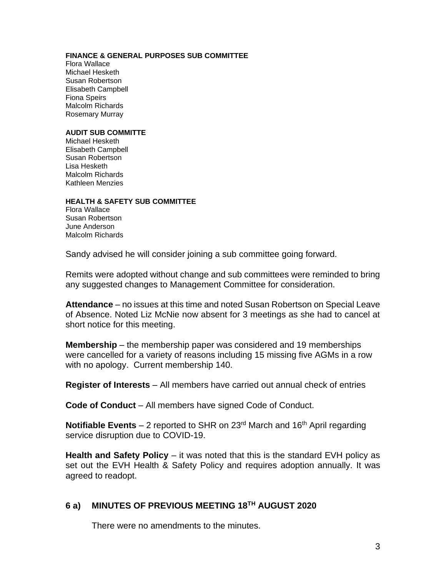#### **FINANCE & GENERAL PURPOSES SUB COMMITTEE**

Flora Wallace Michael Hesketh Susan Robertson Elisabeth Campbell Fiona Speirs Malcolm Richards Rosemary Murray

#### **AUDIT SUB COMMITTE**

Michael Hesketh Elisabeth Campbell Susan Robertson Lisa Hesketh Malcolm Richards Kathleen Menzies

#### **HEALTH & SAFETY SUB COMMITTEE**

Flora Wallace Susan Robertson June Anderson Malcolm Richards

Sandy advised he will consider joining a sub committee going forward.

Remits were adopted without change and sub committees were reminded to bring any suggested changes to Management Committee for consideration.

**Attendance** – no issues at this time and noted Susan Robertson on Special Leave of Absence. Noted Liz McNie now absent for 3 meetings as she had to cancel at short notice for this meeting.

**Membership** – the membership paper was considered and 19 memberships were cancelled for a variety of reasons including 15 missing five AGMs in a row with no apology. Current membership 140.

**Register of Interests** – All members have carried out annual check of entries

**Code of Conduct** – All members have signed Code of Conduct.

**Notifiable Events** – 2 reported to SHR on  $23<sup>rd</sup>$  March and  $16<sup>th</sup>$  April regarding service disruption due to COVID-19.

**Health and Safety Policy** – it was noted that this is the standard EVH policy as set out the EVH Health & Safety Policy and requires adoption annually. It was agreed to readopt.

### **6 a) MINUTES OF PREVIOUS MEETING 18TH AUGUST 2020**

There were no amendments to the minutes.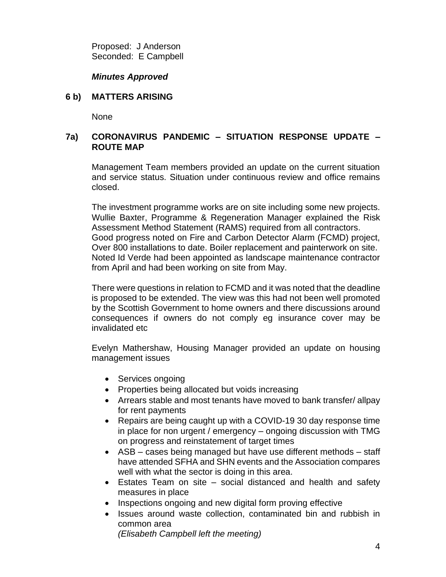Proposed: J Anderson Seconded: E Campbell

### *Minutes Approved*

#### **6 b) MATTERS ARISING**

None

## **7a) CORONAVIRUS PANDEMIC – SITUATION RESPONSE UPDATE – ROUTE MAP**

Management Team members provided an update on the current situation and service status. Situation under continuous review and office remains closed.

The investment programme works are on site including some new projects. Wullie Baxter, Programme & Regeneration Manager explained the Risk Assessment Method Statement (RAMS) required from all contractors. Good progress noted on Fire and Carbon Detector Alarm (FCMD) project, Over 800 installations to date. Boiler replacement and painterwork on site. Noted Id Verde had been appointed as landscape maintenance contractor from April and had been working on site from May.

There were questions in relation to FCMD and it was noted that the deadline is proposed to be extended. The view was this had not been well promoted by the Scottish Government to home owners and there discussions around consequences if owners do not comply eg insurance cover may be invalidated etc

Evelyn Mathershaw, Housing Manager provided an update on housing management issues

- Services ongoing
- Properties being allocated but voids increasing
- Arrears stable and most tenants have moved to bank transfer/ allpay for rent payments
- Repairs are being caught up with a COVID-19 30 day response time in place for non urgent / emergency – ongoing discussion with TMG on progress and reinstatement of target times
- ASB cases being managed but have use different methods staff have attended SFHA and SHN events and the Association compares well with what the sector is doing in this area.
- Estates Team on site social distanced and health and safety measures in place
- Inspections ongoing and new digital form proving effective
- Issues around waste collection, contaminated bin and rubbish in common area

*(Elisabeth Campbell left the meeting)*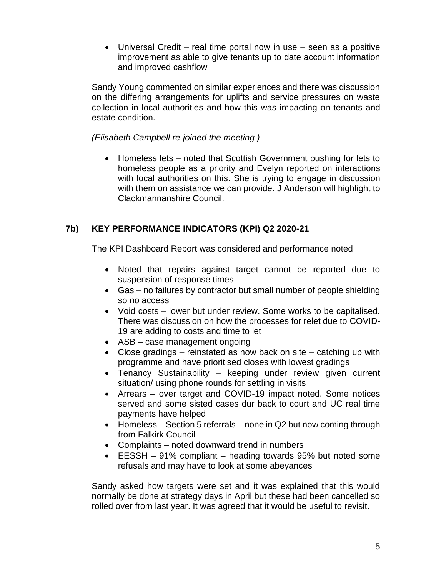• Universal Credit – real time portal now in use – seen as a positive improvement as able to give tenants up to date account information and improved cashflow

Sandy Young commented on similar experiences and there was discussion on the differing arrangements for uplifts and service pressures on waste collection in local authorities and how this was impacting on tenants and estate condition.

## *(Elisabeth Campbell re-joined the meeting )*

• Homeless lets – noted that Scottish Government pushing for lets to homeless people as a priority and Evelyn reported on interactions with local authorities on this. She is trying to engage in discussion with them on assistance we can provide. J Anderson will highlight to Clackmannanshire Council.

## **7b) KEY PERFORMANCE INDICATORS (KPI) Q2 2020-21**

The KPI Dashboard Report was considered and performance noted

- Noted that repairs against target cannot be reported due to suspension of response times
- Gas no failures by contractor but small number of people shielding so no access
- Void costs lower but under review. Some works to be capitalised. There was discussion on how the processes for relet due to COVID-19 are adding to costs and time to let
- ASB case management ongoing
- Close gradings reinstated as now back on site catching up with programme and have prioritised closes with lowest gradings
- Tenancy Sustainability keeping under review given current situation/ using phone rounds for settling in visits
- Arrears over target and COVID-19 impact noted. Some notices served and some sisted cases dur back to court and UC real time payments have helped
- Homeless Section 5 referrals none in Q2 but now coming through from Falkirk Council
- Complaints noted downward trend in numbers
- EESSH 91% compliant heading towards 95% but noted some refusals and may have to look at some abeyances

Sandy asked how targets were set and it was explained that this would normally be done at strategy days in April but these had been cancelled so rolled over from last year. It was agreed that it would be useful to revisit.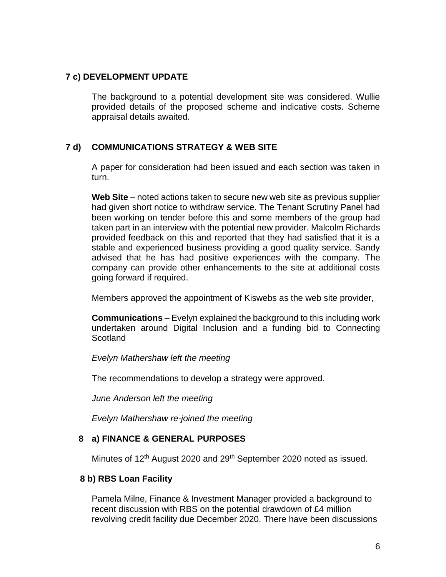### **7 c) DEVELOPMENT UPDATE**

The background to a potential development site was considered. Wullie provided details of the proposed scheme and indicative costs. Scheme appraisal details awaited.

## **7 d) COMMUNICATIONS STRATEGY & WEB SITE**

A paper for consideration had been issued and each section was taken in turn.

**Web Site** – noted actions taken to secure new web site as previous supplier had given short notice to withdraw service. The Tenant Scrutiny Panel had been working on tender before this and some members of the group had taken part in an interview with the potential new provider. Malcolm Richards provided feedback on this and reported that they had satisfied that it is a stable and experienced business providing a good quality service. Sandy advised that he has had positive experiences with the company. The company can provide other enhancements to the site at additional costs going forward if required.

Members approved the appointment of Kiswebs as the web site provider,

**Communications** – Evelyn explained the background to this including work undertaken around Digital Inclusion and a funding bid to Connecting **Scotland** 

*Evelyn Mathershaw left the meeting* 

The recommendations to develop a strategy were approved.

*June Anderson left the meeting*

*Evelyn Mathershaw re-joined the meeting* 

## **8 a) FINANCE & GENERAL PURPOSES**

Minutes of 12<sup>th</sup> August 2020 and 29<sup>th</sup> September 2020 noted as issued.

#### **8 b) RBS Loan Facility**

Pamela Milne, Finance & Investment Manager provided a background to recent discussion with RBS on the potential drawdown of £4 million revolving credit facility due December 2020. There have been discussions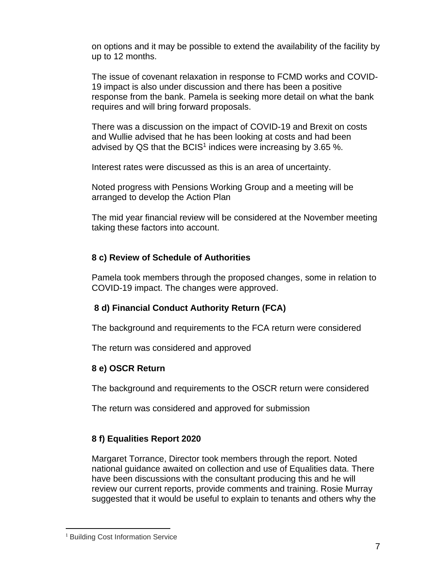on options and it may be possible to extend the availability of the facility by up to 12 months.

The issue of covenant relaxation in response to FCMD works and COVID-19 impact is also under discussion and there has been a positive response from the bank. Pamela is seeking more detail on what the bank requires and will bring forward proposals.

There was a discussion on the impact of COVID-19 and Brexit on costs and Wullie advised that he has been looking at costs and had been advised by QS that the BCIS<sup>1</sup> indices were increasing by 3.65 %.

Interest rates were discussed as this is an area of uncertainty.

Noted progress with Pensions Working Group and a meeting will be arranged to develop the Action Plan

The mid year financial review will be considered at the November meeting taking these factors into account.

## **8 c) Review of Schedule of Authorities**

Pamela took members through the proposed changes, some in relation to COVID-19 impact. The changes were approved.

# **8 d) Financial Conduct Authority Return (FCA)**

The background and requirements to the FCA return were considered

The return was considered and approved

# **8 e) OSCR Return**

The background and requirements to the OSCR return were considered

The return was considered and approved for submission

# **8 f) Equalities Report 2020**

Margaret Torrance, Director took members through the report. Noted national guidance awaited on collection and use of Equalities data. There have been discussions with the consultant producing this and he will review our current reports, provide comments and training. Rosie Murray suggested that it would be useful to explain to tenants and others why the

<sup>&</sup>lt;sup>1</sup> Building Cost Information Service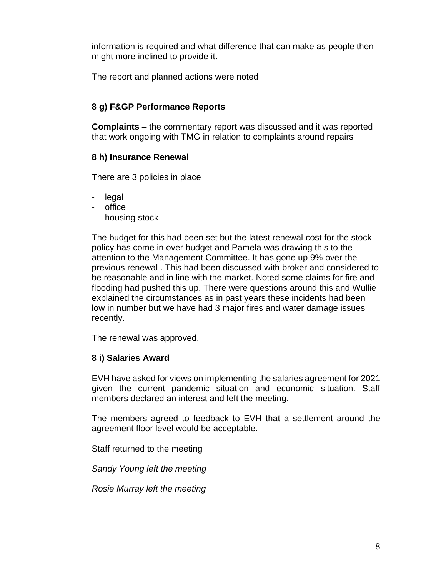information is required and what difference that can make as people then might more inclined to provide it.

The report and planned actions were noted

## **8 g) F&GP Performance Reports**

**Complaints –** the commentary report was discussed and it was reported that work ongoing with TMG in relation to complaints around repairs

## **8 h) Insurance Renewal**

There are 3 policies in place

- legal
- office
- housing stock

The budget for this had been set but the latest renewal cost for the stock policy has come in over budget and Pamela was drawing this to the attention to the Management Committee. It has gone up 9% over the previous renewal . This had been discussed with broker and considered to be reasonable and in line with the market. Noted some claims for fire and flooding had pushed this up. There were questions around this and Wullie explained the circumstances as in past years these incidents had been low in number but we have had 3 major fires and water damage issues recently.

The renewal was approved.

## **8 i) Salaries Award**

EVH have asked for views on implementing the salaries agreement for 2021 given the current pandemic situation and economic situation. Staff members declared an interest and left the meeting.

The members agreed to feedback to EVH that a settlement around the agreement floor level would be acceptable.

Staff returned to the meeting

*Sandy Young left the meeting* 

*Rosie Murray left the meeting*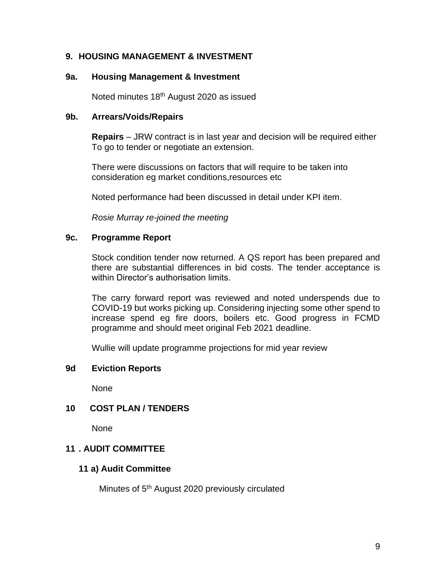## **9. HOUSING MANAGEMENT & INVESTMENT**

#### **9a. Housing Management & Investment**

Noted minutes 18<sup>th</sup> August 2020 as issued

#### **9b. Arrears/Voids/Repairs**

**Repairs** – JRW contract is in last year and decision will be required either To go to tender or negotiate an extension.

There were discussions on factors that will require to be taken into consideration eg market conditions,resources etc

Noted performance had been discussed in detail under KPI item.

*Rosie Murray re-joined the meeting*

#### **9c. Programme Report**

Stock condition tender now returned. A QS report has been prepared and there are substantial differences in bid costs. The tender acceptance is within Director's authorisation limits.

The carry forward report was reviewed and noted underspends due to COVID-19 but works picking up. Considering injecting some other spend to increase spend eg fire doors, boilers etc. Good progress in FCMD programme and should meet original Feb 2021 deadline.

Wullie will update programme projections for mid year review

## **9d Eviction Reports**

None

## **10 COST PLAN / TENDERS**

None

## **11 . AUDIT COMMITTEE**

## **11 a) Audit Committee**

Minutes of 5th August 2020 previously circulated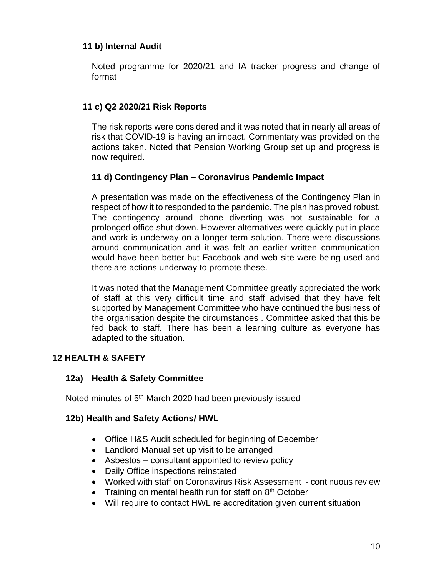## **11 b) Internal Audit**

Noted programme for 2020/21 and IA tracker progress and change of format

## **11 c) Q2 2020/21 Risk Reports**

The risk reports were considered and it was noted that in nearly all areas of risk that COVID-19 is having an impact. Commentary was provided on the actions taken. Noted that Pension Working Group set up and progress is now required.

## **11 d) Contingency Plan – Coronavirus Pandemic Impact**

A presentation was made on the effectiveness of the Contingency Plan in respect of how it to responded to the pandemic. The plan has proved robust. The contingency around phone diverting was not sustainable for a prolonged office shut down. However alternatives were quickly put in place and work is underway on a longer term solution. There were discussions around communication and it was felt an earlier written communication would have been better but Facebook and web site were being used and there are actions underway to promote these.

It was noted that the Management Committee greatly appreciated the work of staff at this very difficult time and staff advised that they have felt supported by Management Committee who have continued the business of the organisation despite the circumstances . Committee asked that this be fed back to staff. There has been a learning culture as everyone has adapted to the situation.

## **12 HEALTH & SAFETY**

## **12a) Health & Safety Committee**

Noted minutes of 5<sup>th</sup> March 2020 had been previously issued

## **12b) Health and Safety Actions/ HWL**

- Office H&S Audit scheduled for beginning of December
- Landlord Manual set up visit to be arranged
- Asbestos consultant appointed to review policy
- Daily Office inspections reinstated
- Worked with staff on Coronavirus Risk Assessment continuous review
- Training on mental health run for staff on 8<sup>th</sup> October
- Will require to contact HWL re accreditation given current situation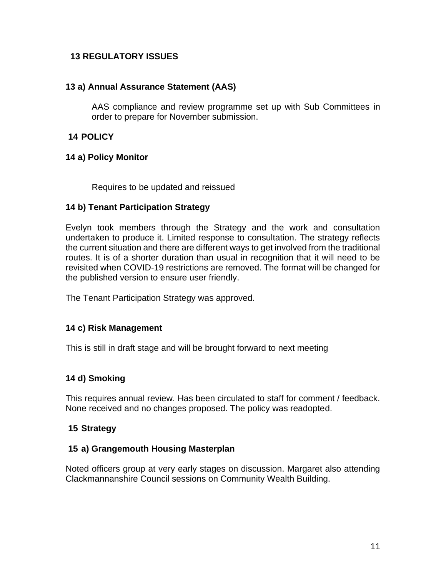## **13 REGULATORY ISSUES**

## **13 a) Annual Assurance Statement (AAS)**

AAS compliance and review programme set up with Sub Committees in order to prepare for November submission.

## **14 POLICY**

#### **14 a) Policy Monitor**

Requires to be updated and reissued

## **14 b) Tenant Participation Strategy**

Evelyn took members through the Strategy and the work and consultation undertaken to produce it. Limited response to consultation. The strategy reflects the current situation and there are different ways to get involved from the traditional routes. It is of a shorter duration than usual in recognition that it will need to be revisited when COVID-19 restrictions are removed. The format will be changed for the published version to ensure user friendly.

The Tenant Participation Strategy was approved.

## **14 c) Risk Management**

This is still in draft stage and will be brought forward to next meeting

## **14 d) Smoking**

This requires annual review. Has been circulated to staff for comment / feedback. None received and no changes proposed. The policy was readopted.

## **15 Strategy**

#### **15 a) Grangemouth Housing Masterplan**

Noted officers group at very early stages on discussion. Margaret also attending Clackmannanshire Council sessions on Community Wealth Building.